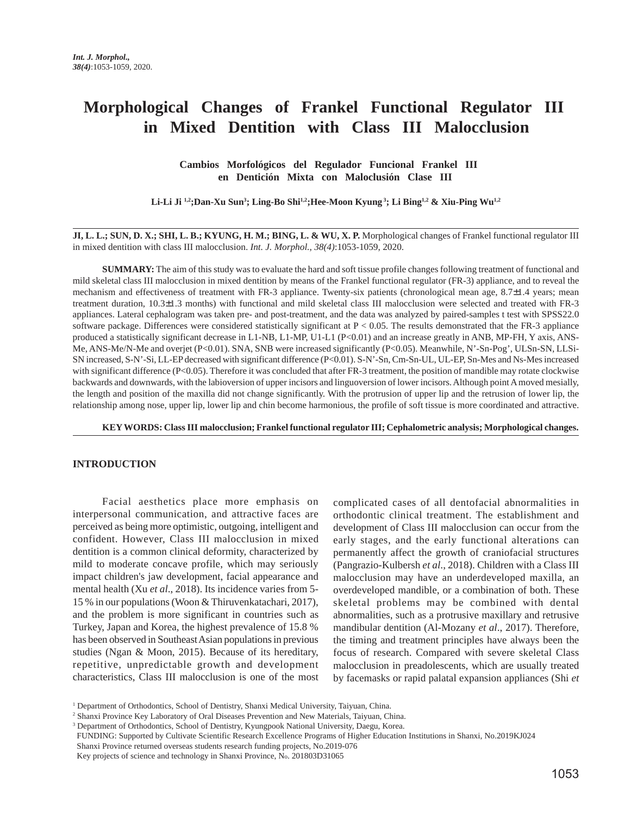# **Morphological Changes of Frankel Functional Regulator III in Mixed Dentition with Class III Malocclusion**

## **Cambios Morfológicos del Regulador Funcional Frankel III en Dentición Mixta con Maloclusión Clase III**

Li-Li Ji <sup>1,2</sup>;Dan-Xu Sun<sup>3</sup>; Ling-Bo Shi<sup>1,2</sup>;Hee-Moon Kyung<sup>3</sup>; Li Bing<sup>1,2</sup> & Xiu-Ping Wu<sup>1,2</sup>

**JI, L. L.; SUN, D. X.; SHI, L. B.; KYUNG, H. M.; BING, L. & WU, X. P.** Morphological changes of Frankel functional regulator III in mixed dentition with class III malocclusion. *Int. J. Morphol., 38(4)*:1053-1059, 2020.

**SUMMARY:** The aim of this study was to evaluate the hard and soft tissue profile changes following treatment of functional and mild skeletal class III malocclusion in mixed dentition by means of the Frankel functional regulator (FR-3) appliance, and to reveal the mechanism and effectiveness of treatment with FR-3 appliance. Twenty-six patients (chronological mean age, 8.7±1.4 years; mean treatment duration, 10.3±1.3 months) with functional and mild skeletal class III malocclusion were selected and treated with FR-3 appliances. Lateral cephalogram was taken pre- and post-treatment, and the data was analyzed by paired-samples t test with SPSS22.0 software package. Differences were considered statistically significant at P < 0.05. The results demonstrated that the FR-3 appliance produced a statistically significant decrease in L1-NB, L1-MP, U1-L1 (P<0.01) and an increase greatly in ANB, MP-FH, Y axis, ANS-Me, ANS-Me/N-Me and overjet (P<0.01). SNA, SNB were increased significantly (P<0.05). Meanwhile, N'-Sn-Pog', ULSn-SN, LLSi-SN increased, S-N'-Si, LL-EP decreased with significant difference (P<0.01). S-N'-Sn, Cm-Sn-UL, UL-EP, Sn-Mes and Ns-Mes increased with significant difference (P<0.05). Therefore it was concluded that after FR-3 treatment, the position of mandible may rotate clockwise backwards and downwards, with the labioversion of upper incisors and linguoversion of lower incisors. Although point A moved mesially, the length and position of the maxilla did not change significantly. With the protrusion of upper lip and the retrusion of lower lip, the relationship among nose, upper lip, lower lip and chin become harmonious, the profile of soft tissue is more coordinated and attractive.

**KEY WORDS: Class III malocclusion; Frankel functional regulator III; Cephalometric analysis; Morphological changes.**

#### **INTRODUCTION**

Facial aesthetics place more emphasis on interpersonal communication, and attractive faces are perceived as being more optimistic, outgoing, intelligent and confident. However, Class III malocclusion in mixed dentition is a common clinical deformity, characterized by mild to moderate concave profile, which may seriously impact children's jaw development, facial appearance and mental health (Xu *et al*., 2018). Its incidence varies from 5- 15 % in our populations (Woon & Thiruvenkatachari, 2017), and the problem is more significant in countries such as Turkey, Japan and Korea, the highest prevalence of 15.8 % has been observed in Southeast Asian populations in previous studies (Ngan & Moon, 2015). Because of its hereditary, repetitive, unpredictable growth and development characteristics, Class III malocclusion is one of the most

complicated cases of all dentofacial abnormalities in orthodontic clinical treatment. The establishment and development of Class III malocclusion can occur from the early stages, and the early functional alterations can permanently affect the growth of craniofacial structures (Pangrazio-Kulbersh *et al*., 2018). Children with a Class III malocclusion may have an underdeveloped maxilla, an overdeveloped mandible, or a combination of both. These skeletal problems may be combined with dental abnormalities, such as a protrusive maxillary and retrusive mandibular dentition (Al-Mozany *et al*., 2017). Therefore, the timing and treatment principles have always been the focus of research. Compared with severe skeletal Class malocclusion in preadolescents, which are usually treated by facemasks or rapid palatal expansion appliances (Shi *et*

2 Shanxi Province Key Laboratory of Oral Diseases Prevention and New Materials, Taiyuan, China.

<sup>1</sup> Department of Orthodontics, School of Dentistry, Shanxi Medical University, Taiyuan, China.

<sup>&</sup>lt;sup>3</sup> Department of Orthodontics, School of Dentistry, Kyungpook National University, Daegu, Korea.

FUNDING: Supported by Cultivate Scientific Research Excellence Programs of Higher Education Institutions in Shanxi, No.2019KJ024

Shanxi Province returned overseas students research funding projects, No.2019-076

Key projects of science and technology in Shanxi Province, No. 201803D31065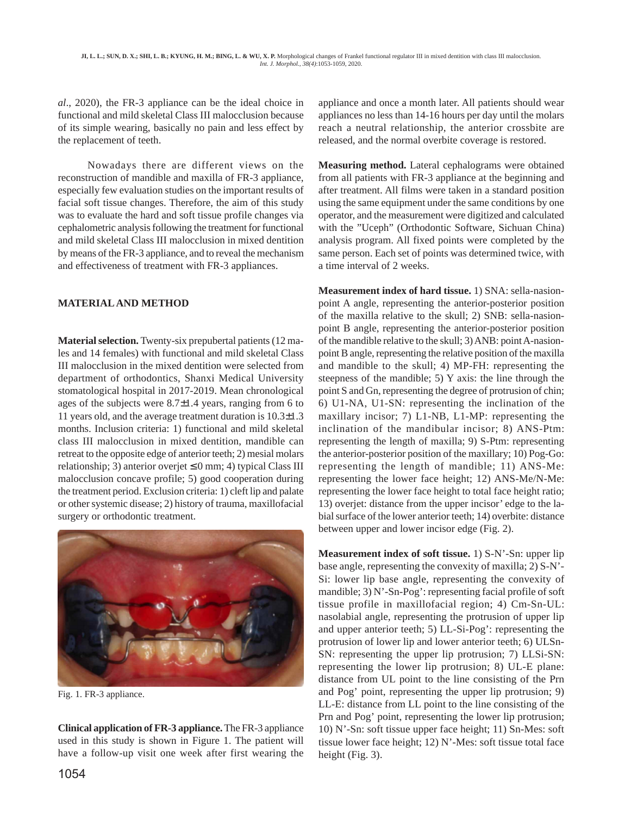*al*., 2020), the FR-3 appliance can be the ideal choice in functional and mild skeletal Class III malocclusion because of its simple wearing, basically no pain and less effect by the replacement of teeth.

Nowadays there are different views on the reconstruction of mandible and maxilla of FR-3 appliance, especially few evaluation studies on the important results of facial soft tissue changes. Therefore, the aim of this study was to evaluate the hard and soft tissue profile changes via cephalometric analysis following the treatment for functional and mild skeletal Class III malocclusion in mixed dentition by means of the FR-3 appliance, and to reveal the mechanism and effectiveness of treatment with FR-3 appliances.

# **MATERIAL AND METHOD**

**Material selection.** Twenty-six prepubertal patients (12 males and 14 females) with functional and mild skeletal Class III malocclusion in the mixed dentition were selected from department of orthodontics, Shanxi Medical University stomatological hospital in 2017-2019. Mean chronological ages of the subjects were 8.7±1.4 years, ranging from 6 to 11 years old, and the average treatment duration is 10.3±1.3 months. Inclusion criteria: 1) functional and mild skeletal class III malocclusion in mixed dentition, mandible can retreat to the opposite edge of anterior teeth; 2) mesial molars relationship; 3) anterior overjet  $\leq 0$  mm; 4) typical Class III malocclusion concave profile; 5) good cooperation during the treatment period. Exclusion criteria: 1) cleft lip and palate or other systemic disease; 2) history of trauma, maxillofacial surgery or orthodontic treatment.



Fig. 1. FR-3 appliance.

**Clinical application of FR-3 appliance.** The FR-3 appliance used in this study is shown in Figure 1. The patient will have a follow-up visit one week after first wearing the appliance and once a month later. All patients should wear appliances no less than 14-16 hours per day until the molars reach a neutral relationship, the anterior crossbite are released, and the normal overbite coverage is restored.

**Measuring method.** Lateral cephalograms were obtained from all patients with FR-3 appliance at the beginning and after treatment. All films were taken in a standard position using the same equipment under the same conditions by one operator, and the measurement were digitized and calculated with the "Uceph" (Orthodontic Software, Sichuan China) analysis program. All fixed points were completed by the same person. Each set of points was determined twice, with a time interval of 2 weeks.

**Measurement index of hard tissue.** 1) SNA: sella-nasionpoint A angle, representing the anterior-posterior position of the maxilla relative to the skull; 2) SNB: sella-nasionpoint B angle, representing the anterior-posterior position of the mandible relative to the skull; 3) ANB: point A-nasionpoint B angle, representing the relative position of the maxilla and mandible to the skull; 4) MP-FH: representing the steepness of the mandible; 5) Y axis: the line through the point S and Gn, representing the degree of protrusion of chin; 6) U1-NA, U1-SN: representing the inclination of the maxillary incisor; 7) L1-NB, L1-MP: representing the inclination of the mandibular incisor; 8) ANS-Ptm: representing the length of maxilla; 9) S-Ptm: representing the anterior-posterior position of the maxillary; 10) Pog-Go: representing the length of mandible; 11) ANS-Me: representing the lower face height; 12) ANS-Me/N-Me: representing the lower face height to total face height ratio; 13) overjet: distance from the upper incisor' edge to the labial surface of the lower anterior teeth; 14) overbite: distance between upper and lower incisor edge (Fig. 2).

**Measurement index of soft tissue.** 1) S-N'-Sn: upper lip base angle, representing the convexity of maxilla; 2) S-N'- Si: lower lip base angle, representing the convexity of mandible; 3) N'-Sn-Pog': representing facial profile of soft tissue profile in maxillofacial region; 4) Cm-Sn-UL: nasolabial angle, representing the protrusion of upper lip and upper anterior teeth; 5) LL-Si-Pog': representing the protrusion of lower lip and lower anterior teeth; 6) ULSn-SN: representing the upper lip protrusion; 7) LLSi-SN: representing the lower lip protrusion; 8) UL-E plane: distance from UL point to the line consisting of the Prn and Pog' point, representing the upper lip protrusion; 9) LL-E: distance from LL point to the line consisting of the Prn and Pog' point, representing the lower lip protrusion; 10) N'-Sn: soft tissue upper face height; 11) Sn-Mes: soft tissue lower face height; 12) N'-Mes: soft tissue total face height (Fig. 3).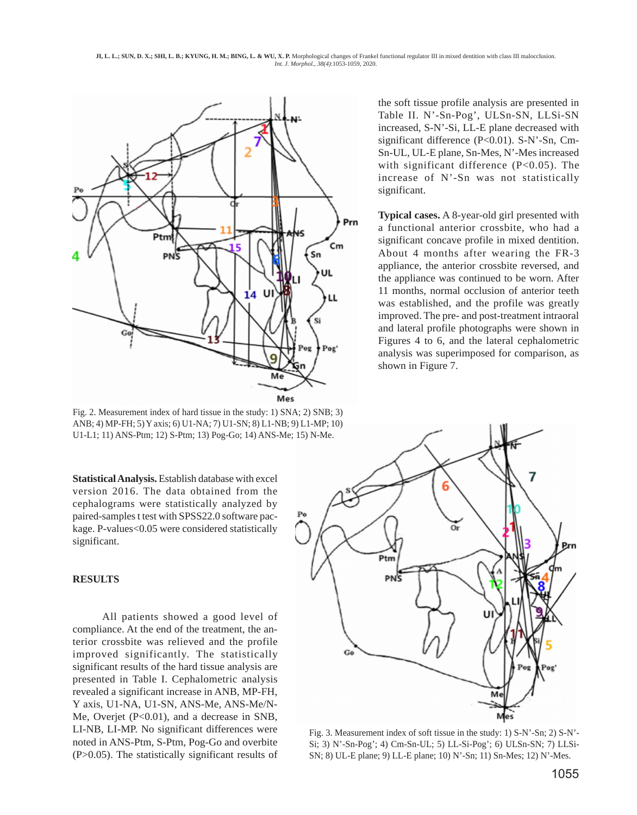**JI, L. L.; SUN, D. X.; SHI, L. B.; KYUNG, H. M.; BING, L. & WU, X. P.** Morphological changes of Frankel functional regulator III in mixed dentition with class III malocclusion. *Int. J. Morphol., 38(4)*:1053-1059, 2020.



Fig. 2. Measurement index of hard tissue in the study: 1) SNA; 2) SNB; 3) ANB; 4) MP-FH; 5) Y axis; 6) U1-NA; 7) U1-SN; 8) L1-NB; 9) L1-MP; 10) U1-L1; 11) ANS-Ptm; 12) S-Ptm; 13) Pog-Go; 14) ANS-Me; 15) N-Me.

**Statistical Analysis.** Establish database with excel version 2016. The data obtained from the cephalograms were statistically analyzed by paired-samples t test with SPSS22.0 software package. P-values<0.05 were considered statistically significant.

### **RESULTS**

All patients showed a good level of compliance. At the end of the treatment, the anterior crossbite was relieved and the profile improved significantly. The statistically significant results of the hard tissue analysis are presented in Table I. Cephalometric analysis revealed a significant increase in ANB, MP-FH, Y axis, U1-NA, U1-SN, ANS-Me, ANS-Me/N-Me, Overjet (P<0.01), and a decrease in SNB, LI-NB, LI-MP. No significant differences were noted in ANS-Ptm, S-Ptm, Pog-Go and overbite (P>0.05). The statistically significant results of the soft tissue profile analysis are presented in Table II. N'-Sn-Pog', ULSn-SN, LLSi-SN increased, S-N'-Si, LL-E plane decreased with significant difference (P<0.01). S-N'-Sn, Cm-Sn-UL, UL-E plane, Sn-Mes, N'-Mes increased with significant difference  $(P<0.05)$ . The increase of N'-Sn was not statistically significant.

**Typical cases.** A 8-year-old girl presented with a functional anterior crossbite, who had a significant concave profile in mixed dentition. About 4 months after wearing the FR-3 appliance, the anterior crossbite reversed, and the appliance was continued to be worn. After 11 months, normal occlusion of anterior teeth was established, and the profile was greatly improved. The pre- and post-treatment intraoral and lateral profile photographs were shown in Figures 4 to 6, and the lateral cephalometric analysis was superimposed for comparison, as shown in Figure 7.



Fig. 3. Measurement index of soft tissue in the study: 1) S-N'-Sn; 2) S-N'- Si; 3) N'-Sn-Pog'; 4) Cm-Sn-UL; 5) LL-Si-Pog'; 6) ULSn-SN; 7) LLSi-SN; 8) UL-E plane; 9) LL-E plane; 10) N'-Sn; 11) Sn-Mes; 12) N'-Mes.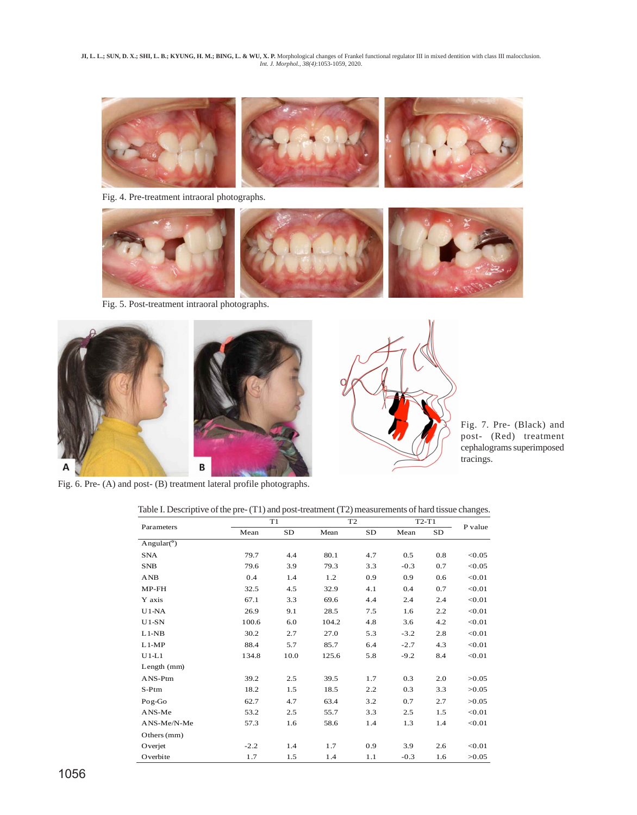JI, L. L.; SUN, D. X.; SHI, L. B.; KYUNG, H. M.; BING, L. & WU, X. P. Morphological changes of Frankel functional regulator III in mixed dentition with class III malocclusion.<br>Int. J. Morphol., 38(4):1053-1059, 2020.



Fig. 4. Pre-treatment intraoral photographs.



Fig. 5. Post-treatment intraoral photographs.



Fig. 7. Pre- (Black) and post- (Red) treatment cephalograms superimposed tracings.

Fig. 6. Pre- (A) and post- (B) treatment lateral profile photographs.

|  |  | Table I. Descriptive of the pre- (T1) and post-treatment (T2) measurements of hard tissue changes. |
|--|--|----------------------------------------------------------------------------------------------------|
|  |  |                                                                                                    |
|  |  |                                                                                                    |

| Parameters    | T1     |      | T <sub>2</sub> |           | $T2-T1$ |     | P value |
|---------------|--------|------|----------------|-----------|---------|-----|---------|
|               | Mean   | SD   | Mean           | <b>SD</b> | Mean    | SD  |         |
| Angular $(°)$ |        |      |                |           |         |     |         |
| <b>SNA</b>    | 79.7   | 4.4  | 80.1           | 4.7       | 0.5     | 0.8 | < 0.05  |
| <b>SNB</b>    | 79.6   | 3.9  | 79.3           | 3.3       | $-0.3$  | 0.7 | < 0.05  |
| AND           | 0.4    | 1.4  | 1.2            | 0.9       | 0.9     | 0.6 | < 0.01  |
| $MP$ - $FH$   | 32.5   | 4.5  | 32.9           | 4.1       | 0.4     | 0.7 | < 0.01  |
| Y axis        | 67.1   | 3.3  | 69.6           | 4.4       | 2.4     | 2.4 | < 0.01  |
| $U1-NA$       | 26.9   | 9.1  | 28.5           | 7.5       | 1.6     | 2.2 | < 0.01  |
| $U1-SN$       | 100.6  | 6.0  | 104.2          | 4.8       | 3.6     | 4.2 | < 0.01  |
| $L1-NB$       | 30.2   | 2.7  | 27.0           | 5.3       | $-3.2$  | 2.8 | < 0.01  |
| $L1-MP$       | 88.4   | 5.7  | 85.7           | 6.4       | $-2.7$  | 4.3 | < 0.01  |
| $U1-L1$       | 134.8  | 10.0 | 125.6          | 5.8       | $-9.2$  | 8.4 | < 0.01  |
| Length (mm)   |        |      |                |           |         |     |         |
| ANS-Ptm       | 39.2   | 2.5  | 39.5           | 1.7       | 0.3     | 2.0 | >0.05   |
| $S-Ptm$       | 18.2   | 1.5  | 18.5           | 2.2       | 0.3     | 3.3 | >0.05   |
| Pog-Go        | 62.7   | 4.7  | 63.4           | 3.2       | 0.7     | 2.7 | >0.05   |
| ANS-Me        | 53.2   | 2.5  | 55.7           | 3.3       | 2.5     | 1.5 | < 0.01  |
| ANS-Me/N-Me   | 57.3   | 1.6  | 58.6           | 1.4       | 1.3     | 1.4 | < 0.01  |
| Others (mm)   |        |      |                |           |         |     |         |
| Overjet       | $-2.2$ | 1.4  | 1.7            | 0.9       | 3.9     | 2.6 | < 0.01  |
| Overbite      | 1.7    | 1.5  | 1.4            | 1.1       | $-0.3$  | 1.6 | >0.05   |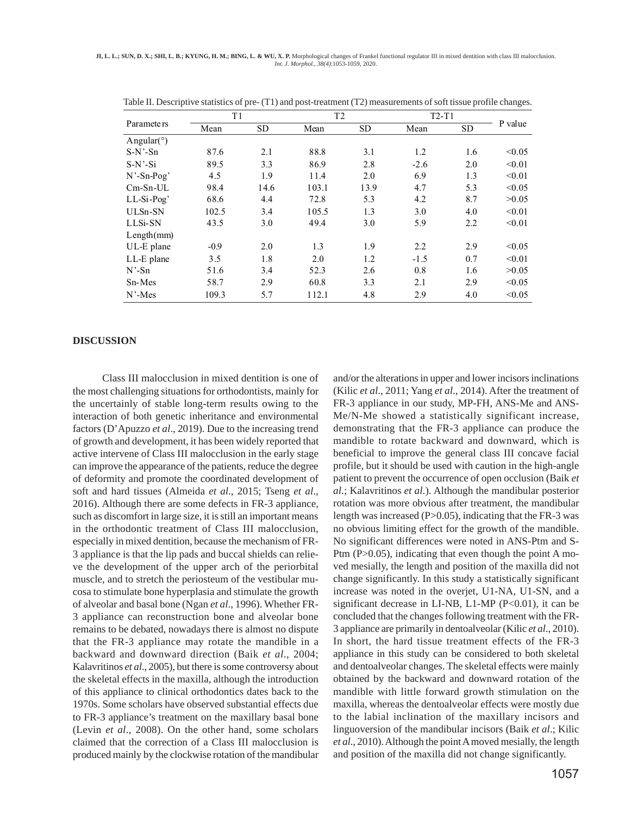| Parameters         | T1     |           |       | T <sub>2</sub> |        | $T2-T1$   |         |
|--------------------|--------|-----------|-------|----------------|--------|-----------|---------|
|                    | Mean   | <b>SD</b> | Mean  | <b>SD</b>      | Mean   | <b>SD</b> | P value |
| Angular( $\circ$ ) |        |           |       |                |        |           |         |
| $S-N'$ -Sn         | 87.6   | 2.1       | 88.8  | 3.1            | 1.2    | 1.6       | < 0.05  |
| $S-N'$ -Si         | 89.5   | 3.3       | 86.9  | 2.8            | $-2.6$ | 2.0       | < 0.01  |
| $N'$ -Sn-Pog'      | 4.5    | 1.9       | 11.4  | 2.0            | 6.9    | 1.3       | < 0.01  |
| $Cm-Sn-UL$         | 98.4   | 14.6      | 103.1 | 13.9           | 4.7    | 5.3       | < 0.05  |
| $LL-Si-Pog'$       | 68.6   | 4.4       | 72.8  | 5.3            | 4.2    | 8.7       | >0.05   |
| ULSn-SN            | 102.5  | 3.4       | 105.5 | 1.3            | 3.0    | 4.0       | < 0.01  |
| LLSi-SN            | 43.5   | 3.0       | 49.4  | 3.0            | 5.9    | 2.2       | < 0.01  |
| Length(mm)         |        |           |       |                |        |           |         |
| UL-E plane         | $-0.9$ | 2.0       | 1.3   | 1.9            | 2.2    | 2.9       | < 0.05  |
| LL-E plane         | 3.5    | 1.8       | 2.0   | 1.2            | $-1.5$ | 0.7       | < 0.01  |
| $N'$ -Sn           | 51.6   | 3.4       | 52.3  | 2.6            | 0.8    | 1.6       | >0.05   |
| Sn-Mes             | 58.7   | 2.9       | 60.8  | 3.3            | 2.1    | 2.9       | < 0.05  |
| $N'$ -Mes          | 109.3  | 5.7       | 112.1 | 4.8            | 2.9    | 4.0       | < 0.05  |

Table II. Descriptive statistics of pre- (T1) and post-treatment (T2) measurements of soft tissue profile changes.

#### **DISCUSSION**

Class III malocclusion in mixed dentition is one of the most challenging situations for orthodontists, mainly for the uncertainly of stable long-term results owing to the interaction of both genetic inheritance and environmental factors (D'Apuzzo *et al*., 2019). Due to the increasing trend of growth and development, it has been widely reported that active intervene of Class III malocclusion in the early stage can improve the appearance of the patients, reduce the degree of deformity and promote the coordinated development of soft and hard tissues (Almeida *et al*., 2015; Tseng *et al*., 2016). Although there are some defects in FR-3 appliance, such as discomfort in large size, it is still an important means in the orthodontic treatment of Class III malocclusion, especially in mixed dentition, because the mechanism of FR-3 appliance is that the lip pads and buccal shields can relieve the development of the upper arch of the periorbital muscle, and to stretch the periosteum of the vestibular mucosa to stimulate bone hyperplasia and stimulate the growth of alveolar and basal bone (Ngan *et al*., 1996). Whether FR-3 appliance can reconstruction bone and alveolar bone remains to be debated, nowadays there is almost no dispute that the FR-3 appliance may rotate the mandible in a backward and downward direction (Baik *et al*., 2004; Kalavritinos *et al*., 2005), but there is some controversy about the skeletal effects in the maxilla, although the introduction of this appliance to clinical orthodontics dates back to the 1970s. Some scholars have observed substantial effects due to FR-3 appliance's treatment on the maxillary basal bone (Levin *et al*., 2008). On the other hand, some scholars claimed that the correction of a Class III malocclusion is produced mainly by the clockwise rotation of the mandibular

and/or the alterations in upper and lower incisors inclinations (Kilic *et al*., 2011; Yang *et al*., 2014). After the treatment of FR-3 appliance in our study, MP-FH, ANS-Me and ANS-Me/N-Me showed a statistically significant increase, demonstrating that the FR-3 appliance can produce the mandible to rotate backward and downward, which is beneficial to improve the general class III concave facial profile, but it should be used with caution in the high-angle patient to prevent the occurrence of open occlusion (Baik *et al*.; Kalavritinos *et al*.). Although the mandibular posterior rotation was more obvious after treatment, the mandibular length was increased (P>0.05), indicating that the FR-3 was no obvious limiting effect for the growth of the mandible. No significant differences were noted in ANS-Ptm and S-Ptm (P>0.05), indicating that even though the point A moved mesially, the length and position of the maxilla did not change significantly. In this study a statistically significant increase was noted in the overjet, U1-NA, U1-SN, and a significant decrease in LI-NB, L1-MP (P<0.01), it can be concluded that the changes following treatment with the FR-3 appliance are primarily in dentoalveolar (Kilic *et al*., 2010). In short, the hard tissue treatment effects of the FR-3 appliance in this study can be considered to both skeletal and dentoalveolar changes. The skeletal effects were mainly obtained by the backward and downward rotation of the mandible with little forward growth stimulation on the maxilla, whereas the dentoalveolar effects were mostly due to the labial inclination of the maxillary incisors and linguoversion of the mandibular incisors (Baik *et al*.; Kilic *et al*., 2010). Although the point A moved mesially, the length and position of the maxilla did not change significantly.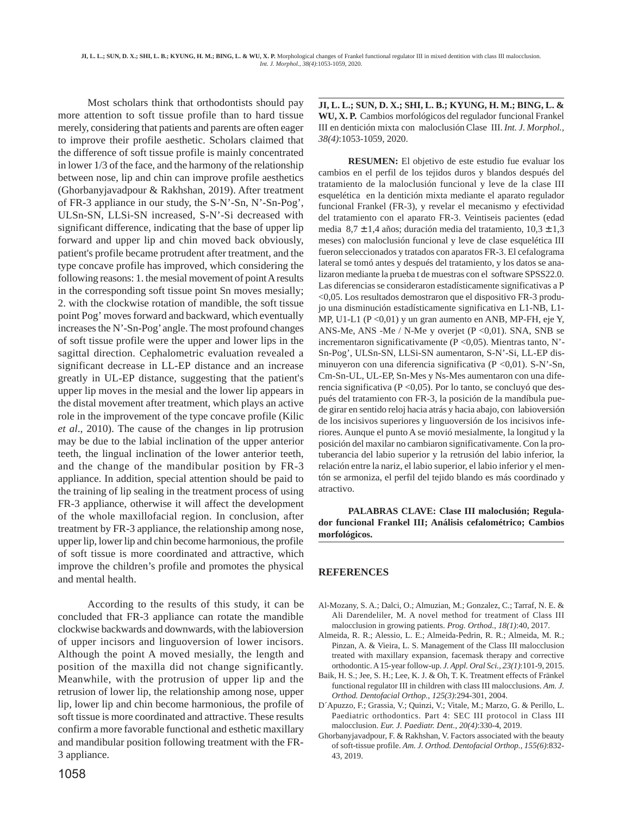Most scholars think that orthodontists should pay more attention to soft tissue profile than to hard tissue merely, considering that patients and parents are often eager to improve their profile aesthetic. Scholars claimed that the difference of soft tissue profile is mainly concentrated in lower 1/3 of the face, and the harmony of the relationship between nose, lip and chin can improve profile aesthetics (Ghorbanyjavadpour & Rakhshan, 2019). After treatment of FR-3 appliance in our study, the S-N'-Sn, N'-Sn-Pog', ULSn-SN, LLSi-SN increased, S-N'-Si decreased with significant difference, indicating that the base of upper lip forward and upper lip and chin moved back obviously, patient's profile became protrudent after treatment, and the type concave profile has improved, which considering the following reasons: 1. the mesial movement of point A results in the corresponding soft tissue point Sn moves mesially; 2. with the clockwise rotation of mandible, the soft tissue point Pog' moves forward and backward, which eventually increases the N'-Sn-Pog' angle. The most profound changes of soft tissue profile were the upper and lower lips in the sagittal direction. Cephalometric evaluation revealed a significant decrease in LL-EP distance and an increase greatly in UL-EP distance, suggesting that the patient's upper lip moves in the mesial and the lower lip appears in the distal movement after treatment, which plays an active role in the improvement of the type concave profile (Kilic *et al*., 2010). The cause of the changes in lip protrusion may be due to the labial inclination of the upper anterior teeth, the lingual inclination of the lower anterior teeth, and the change of the mandibular position by FR-3 appliance. In addition, special attention should be paid to the training of lip sealing in the treatment process of using FR-3 appliance, otherwise it will affect the development of the whole maxillofacial region. In conclusion, after treatment by FR-3 appliance, the relationship among nose, upper lip, lower lip and chin become harmonious, the profile of soft tissue is more coordinated and attractive, which improve the children's profile and promotes the physical and mental health.

According to the results of this study, it can be concluded that FR-3 appliance can rotate the mandible clockwise backwards and downwards, with the labioversion of upper incisors and linguoversion of lower incisors. Although the point A moved mesially, the length and position of the maxilla did not change significantly. Meanwhile, with the protrusion of upper lip and the retrusion of lower lip, the relationship among nose, upper lip, lower lip and chin become harmonious, the profile of soft tissue is more coordinated and attractive. These results confirm a more favorable functional and esthetic maxillary and mandibular position following treatment with the FR-3 appliance.

**JI, L. L.; SUN, D. X.; SHI, L. B.; KYUNG, H. M.; BING, L. & WU, X. P.** Cambios morfológicos del regulador funcional Frankel III en dentición mixta con maloclusión Clase III. *Int. J. Morphol., 38(4)*:1053-1059, 2020.

**RESUMEN:** El objetivo de este estudio fue evaluar los cambios en el perfil de los tejidos duros y blandos después del tratamiento de la maloclusión funcional y leve de la clase III esquelética en la dentición mixta mediante el aparato regulador funcional Frankel (FR-3), y revelar el mecanismo y efectividad del tratamiento con el aparato FR-3. Veintiseis pacientes (edad media  $8,7 \pm 1,4$  años; duración media del tratamiento,  $10,3 \pm 1,3$ meses) con maloclusión funcional y leve de clase esquelética III fueron seleccionados y tratados con aparatos FR-3. El cefalograma lateral se tomó antes y después del tratamiento, y los datos se analizaron mediante la prueba t de muestras con el software SPSS22.0. Las diferencias se consideraron estadísticamente significativas a P <0,05. Los resultados demostraron que el dispositivo FR-3 produjo una disminución estadísticamente significativa en L1-NB, L1- MP, U1-L1 (P <0,01) y un gran aumento en ANB, MP-FH, eje Y, ANS-Me, ANS -Me / N-Me y overjet (P <0,01). SNA, SNB se incrementaron significativamente (P <0,05). Mientras tanto, N'- Sn-Pog', ULSn-SN, LLSi-SN aumentaron, S-N'-Si, LL-EP disminuyeron con una diferencia significativa (P <0,01). S-N'-Sn, Cm-Sn-UL, UL-EP, Sn-Mes y Ns-Mes aumentaron con una diferencia significativa (P <0,05). Por lo tanto, se concluyó que después del tratamiento con FR-3, la posición de la mandíbula puede girar en sentido reloj hacia atrás y hacia abajo, con labioversión de los incisivos superiores y linguoversión de los incisivos inferiores. Aunque el punto A se movió mesialmente, la longitud y la posición del maxilar no cambiaron significativamente. Con la protuberancia del labio superior y la retrusión del labio inferior, la relación entre la nariz, el labio superior, el labio inferior y el mentón se armoniza, el perfil del tejido blando es más coordinado y atractivo.

**PALABRAS CLAVE: Clase III maloclusión; Regulador funcional Frankel III; Análisis cefalométrico; Cambios morfológicos.**

## **REFERENCES**

- Al-Mozany, S. A.; Dalci, O.; Almuzian, M.; Gonzalez, C.; Tarraf, N. E. & Ali Darendeliler, M. A novel method for treatment of Class III malocclusion in growing patients. *Prog. Orthod., 18(1)*:40, 2017.
- Almeida, R. R.; Alessio, L. E.; Almeida-Pedrin, R. R.; Almeida, M. R.; Pinzan, A. & Vieira, L. S. Management of the Class III malocclusion treated with maxillary expansion, facemask therapy and corrective orthodontic. A 15-year follow-up. *J. Appl. Oral Sci., 23(1)*:101-9, 2015.
- Baik, H. S.; Jee, S. H.; Lee, K. J. & Oh, T. K. Treatment effects of Fränkel functional regulator III in children with class III malocclusions. *Am. J. Orthod. Dentofacial Orthop., 125(3)*:294-301, 2004.
- D´Apuzzo, F.; Grassia, V.; Quinzi, V.; Vitale, M.; Marzo, G. & Perillo, L. Paediatric orthodontics. Part 4: SEC III protocol in Class III malocclusion. *Eur. J. Paediatr. Dent., 20(4)*:330-4, 2019.
- Ghorbanyjavadpour, F. & Rakhshan, V. Factors associated with the beauty of soft-tissue profile. *Am. J. Orthod. Dentofacial Orthop., 155(6)*:832- 43, 2019.